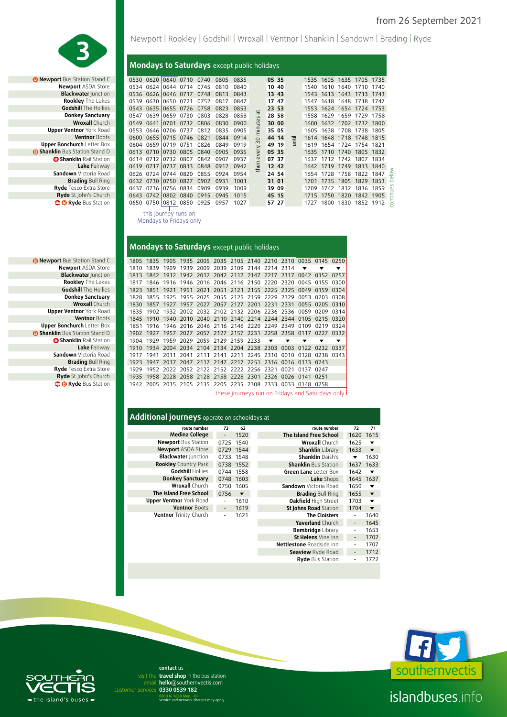

*B* Newport Bus Station Stand C **Rookley** The Lakes **Godshill** The Hollies **Upper Ventnor** York Road **Ventnor Boots Upper Bonchurch Letter Box B Shanklin Bus Station Stand D Shanklin Rail Station Lake** Fairway **Sandown** Victoria Road **Brading** Bull Ring **Ryde** Tesco Extra Store

Newport | Rookley | Godshill | Wroxall | Ventnor | Shanklin | Sandown | Brading | Ryde

#### **Mondays to Saturdays** except public holidays

| <b>rt</b> Bus Station Stand C |      |                |           | 0530 0620 0640 0710 0740 |      | 0805 | 0835 |                | 05 35 |       |   |      |      |      | 1535 1605 1635 1705 1735 |      |
|-------------------------------|------|----------------|-----------|--------------------------|------|------|------|----------------|-------|-------|---|------|------|------|--------------------------|------|
| <b>Newport ASDA Store</b>     | 0534 |                |           | 0624 0644 0714           | 0745 | 0810 | 0840 |                |       | 10 40 |   | 1540 | 1610 | 1640 | 1710                     | 1740 |
| <b>Blackwater Junction</b>    |      | 0536 0626 0646 |           | 0717                     | 0748 | 0813 | 0843 |                | 13 43 |       |   | 1543 | 1613 |      | 1643 1713                | 1743 |
| <b>Rookley</b> The Lakes      | 0539 | 0630           | 0650      | 0721                     | 0752 | 0817 | 0847 |                | 17    | 47    |   | 1547 | 1618 | 1648 | 1718                     | 1747 |
| <b>Godshill</b> The Hollies   | 0543 | 0635 0655      |           | 0726                     | 0758 | 0823 | 0853 | t              |       | 23 53 |   | 1553 |      |      | 1624 1654 1724           | 1753 |
| <b>Donkey Sanctuary</b>       | 0547 |                | 0639 0659 | 0730                     | 0803 | 0828 | 0858 | $\mathfrak{g}$ |       | 28 58 |   | 1558 | 1629 | 1659 | 1729                     | 1758 |
| <b>Wroxall</b> Church         | 0549 | 0641 0701      |           | 0732                     | 0806 | 0830 | 0900 | ute            | 30 00 |       |   | 1600 | 1632 |      | 1702 1732                | 1800 |
| er Ventnor York Road          | 0553 | 0646 0706      |           | 0737                     | 0812 | 0835 | 0905 | Ē              |       | 35 05 |   | 1605 | 1638 | 1708 | 1738                     | 1805 |
| <b>Ventnor Boots</b>          |      | 0600 0655 0715 |           | 0746                     | 0821 | 0844 | 0914 | $\circ$        | 44 14 |       | Ξ | 1614 |      |      | 1648 1718 1748           | 1815 |
| <b>Bonchurch</b> Letter Box   | 0604 | 0659 0719      |           | 0751                     | 0826 | 0849 | 0919 | $\sim$         | 49    | 19    | ⋸ | 1619 | 1654 | 1724 | 1754                     | 1821 |
| <b>n</b> Bus Station Stand D  |      | 0613 0710 0730 |           | 0805                     | 0840 | 0905 | 0935 | every          | 05 35 |       |   | 1635 | 1710 | 1740 | 1805                     | 1832 |
| <b>Shanklin</b> Rail Station  | 0614 | 0712 0732      |           | 0807                     | 0842 | 0907 | 0937 |                | 07 37 |       |   | 1637 | 1712 | 1742 | 1807                     | 1834 |
| Lake Fairway                  | 0619 | 0717 0737      |           | 0813                     | 0848 | 0912 | 0942 | then           | 12 42 |       |   | 1642 | 1719 | 1749 | 1813                     | 1840 |
| <b>andown</b> Victoria Road   | 0626 | 0724           | 0744      | 0820                     | 0855 | 0924 | 0954 |                | 24 54 |       |   | 1654 | 1728 | 1758 | 1822                     | 1847 |
| <b>Brading Bull Ring</b>      | 0632 |                | 0730 0750 | 0827                     | 0902 | 0931 | 1001 |                | 31 01 |       |   | 1701 | 1735 | 1805 | 1829                     | 1853 |
| <b>vde</b> Tesco Extra Store: | 0637 | 07361          | 0756      | 0834                     | 0909 | 0939 | 1009 |                |       | 39 09 |   | 1709 | 1742 | 1812 | 1836                     | 1859 |
| Ryde St John's Church         | 0643 | 0742           | 0802      | 0840                     | 0915 | 0945 | 1015 |                | 45 15 |       |   | 1715 | 1750 | 1820 | 1842                     | 1905 |
| <b>B</b> Ryde Bus Station     | 0650 | 0750 0812      |           | 0850                     | 0925 | 0957 | 1027 |                | 57 27 |       |   | 1727 | 1800 | 1830 | 1852                     | 1912 |
|                               |      |                |           |                          |      |      |      |                |       |       |   |      |      |      |                          |      |

this journey runs on Mondays to Fridays only

| <b>B</b> Newport Bus Station Stand C  |
|---------------------------------------|
| <b>Newport ASDA Store</b>             |
| <b>Blackwater Junction</b>            |
| <b>Rookley The Lakes</b>              |
| <b>Godshill</b> The Hollies           |
| <b>Donkey Sanctuary</b>               |
| <b>Wroxall</b> Church                 |
| <b>Upper Ventnor</b> York Road        |
| <b>Ventnor Boots</b>                  |
| <b>Upper Bonchurch Letter Box</b>     |
| <b>B Shanklin</b> Bus Station Stand D |
| Shanklin Rail Station                 |
| Lake Fairway                          |
| Sandown Victoria Road                 |
| <b>Brading Bull Ring</b>              |
| Ryde Tesco Extra Store                |
| Ryde St John's Church                 |
| <b>C Ryde</b> Bus Station             |

| Mondays to Saturdays except public holidays |  |
|---------------------------------------------|--|

| <b>Newport</b> Bus Station Stand C  |      |           |      |      |                                         |                |      |           |                                                   |       |                                                             | 1805 1835 1905 1935 2005 2035 2105 2140 2210 2310 0035 0145 0250 |      |
|-------------------------------------|------|-----------|------|------|-----------------------------------------|----------------|------|-----------|---------------------------------------------------|-------|-------------------------------------------------------------|------------------------------------------------------------------|------|
| <b>Newport ASDA Store</b>           | 1810 | 1839      | 1909 |      |                                         |                |      |           | 1939 2009 2039 2109 2144 2214 2314                |       | ▼                                                           |                                                                  |      |
| <b>Blackwater Junction</b>          |      |           |      |      |                                         |                |      |           | 1813 1842 1912 1942 2012 2042 2112 2147 2217 2317 |       |                                                             | 0042 0152 0257                                                   |      |
| Rookley The Lakes                   | 1817 | 1846      |      |      |                                         |                |      |           |                                                   |       |                                                             | 1916 1946 2016 2046 2116 2150 2220 2320 0045 0155 0300           |      |
| <b>Godshill</b> The Hollies         |      |           |      |      |                                         |                |      |           |                                                   |       | 1823 1851 1921 1951 2021 2051 2121 2155 2225 2325 0049 0159 |                                                                  | 0304 |
| <b>Donkey Sanctuary</b>             |      |           |      |      |                                         |                |      |           |                                                   |       |                                                             | 1828 1855 1925 1955 2025 2055 2125 2159 2229 2329 0053 0203 0308 |      |
| <b>Wroxall</b> Church               | 1830 |           |      |      |                                         |                |      |           | 1857 1927 1957 2027 2057 2127 2201 2231 2331      |       |                                                             | 0055 0205 0310                                                   |      |
| <b>Upper Ventnor</b> York Road      |      |           |      |      |                                         |                |      |           |                                                   |       | 1835 1902 1932 2002 2032 2102 2132 2206 2236 2336 0059 0209 |                                                                  | 0314 |
| <b>Ventnor Boots</b>                |      |           |      |      |                                         |                |      |           |                                                   |       |                                                             | 1845 1910 1940 2010 2040 2110 2140 2214 2244 2344 0105 0215 0320 |      |
| <b>Upper Bonchurch Letter Box</b>   | 1851 | 1916      |      |      |                                         |                |      |           | 1946 2016 2046 2116 2146 2220 2249 2349 0109      |       |                                                             | 0219                                                             | 0324 |
| <b>Shanklin</b> Bus Station Stand D | 1902 | 1927      |      |      |                                         |                |      |           | 1957 2027 2057 2127 2157 2231 2258 2358           |       | 0117                                                        | 0227                                                             | 0332 |
| Shanklin Rail Station               | 1904 | 1929      | 1959 | 2029 |                                         | 2059 2129 2159 |      | 2233      | ▼                                                 | ▼     | ▼                                                           |                                                                  |      |
| Lake Fairway                        | 1910 |           |      |      | 1934 2004 2034 2104 2134 2204 2238 2303 |                |      |           |                                                   | 00031 | 0122                                                        | 0232                                                             | 0337 |
| Sandown Victoria Road               | 1917 | 1941      | 2011 | 2041 | 2111                                    | 2141           | 2211 | 2245 2310 |                                                   |       | 0010 0128                                                   | 0238 0343                                                        |      |
| <b>Brading Bull Ring</b>            | 1923 |           |      |      |                                         |                |      |           | 1947 2017 2047 2117 2147 2217 2251 2316 0016      |       | 0133 0243                                                   |                                                                  |      |
| Ryde Tesco Extra Store              | 1929 |           |      |      | 1952 2022 2052 2122 2152 2222 2256 2321 |                |      |           |                                                   | 0021  | 0137                                                        | 0247                                                             |      |
| Ryde St John's Church               | 1935 |           |      |      |                                         |                |      |           | 1958 2028 2058 2128 2158 2228 2301 2326 0026      |       | 0141 0251                                                   |                                                                  |      |
| <b>O</b> Ryde Bus Station           |      | 1942 2005 |      |      |                                         |                |      |           |                                                   |       | 2035 2105 2135 2205 2235 2308 2333 0033 0148 0258           |                                                                  |      |
|                                     |      |           |      |      |                                         |                |      |           |                                                   |       |                                                             |                                                                  |      |

these journeys run on Fridays and Saturdays only

| <b>Additional journeys</b> operate on schooldays at |                          |                         |                                 |                          |                         |
|-----------------------------------------------------|--------------------------|-------------------------|---------------------------------|--------------------------|-------------------------|
| route number                                        | 73                       | 63                      | route number                    | 72                       | 71                      |
| <b>Medina College</b>                               | $\overline{\phantom{m}}$ | 1520                    | The Island Free School          | 1620                     | 1615                    |
| <b>Newport</b> Bus Station                          | 0725 1540                |                         | <b>Wroxall</b> Church           | 1625                     | ▼                       |
| <b>Newport ASDA Store</b>                           |                          | 0729 1544               | <b>Shanklin Library</b>         | 1633                     | $\overline{\mathbf{v}}$ |
| <b>Blackwater Junction</b>                          | 0733 1548                |                         | <b>Shanklin Daish's</b>         |                          | 1630                    |
| <b>Rookley</b> Country Park                         |                          | 0738 1552               | <b>Shanklin</b> Bus Station     | 1637                     | 1633                    |
| Godshill Hollies                                    | 0744                     | 1558                    | Green Lane Letter Box           | 1642                     | ▼                       |
| <b>Donkey Sanctuary</b>                             | 0748                     | 1603                    | Lake Shops                      | 1645                     | 1637                    |
| <b>Wroxall</b> Church                               | 0750                     | 1605                    | Sandown Victoria Road           | 1650                     | ▼                       |
| The Island Free School                              | 0756                     | $\overline{\mathbf{v}}$ | <b>Brading Bull Ring</b>        | 1655                     | $\blacktriangledown$    |
| <b>Upper Ventnor</b> York Road                      |                          | 1610                    | Oakfield High Street            | 1703                     | $\overline{\mathbf{v}}$ |
| <b>Ventnor Boots</b>                                |                          | 1619                    | St Johns Road Station           | 1704                     | $\overline{\mathbf{v}}$ |
| <b>Ventnor</b> Trinity Church                       |                          | 1621                    | <b>The Cloisters</b>            |                          | 1640                    |
|                                                     |                          |                         | Yaverland Church                | $\overline{\phantom{a}}$ | 1645                    |
|                                                     |                          |                         | <b>Bembridge</b> Library        |                          | 1653                    |
|                                                     |                          |                         | St Helens Vine Inn              |                          | 1702                    |
|                                                     |                          |                         | <b>Nettlestone</b> Roadside Inn |                          | 1707                    |
|                                                     |                          |                         | <b>Seaview</b> Ryde Road        | $\overline{\phantom{a}}$ | 1712                    |
|                                                     |                          |                         | Ryde Bus Station                |                          | 1722                    |
|                                                     |                          |                         |                                 |                          |                         |



## islandbuses.info

email hello@southernvectis.com **contact** us visit the travel shop in the bus station

 $\blacktriangleleft$  the island's buses  $\blacktriangleright$ 

**0330 0539 182** customer services 0800 to 1830 Mon - Fri service and network charges may apply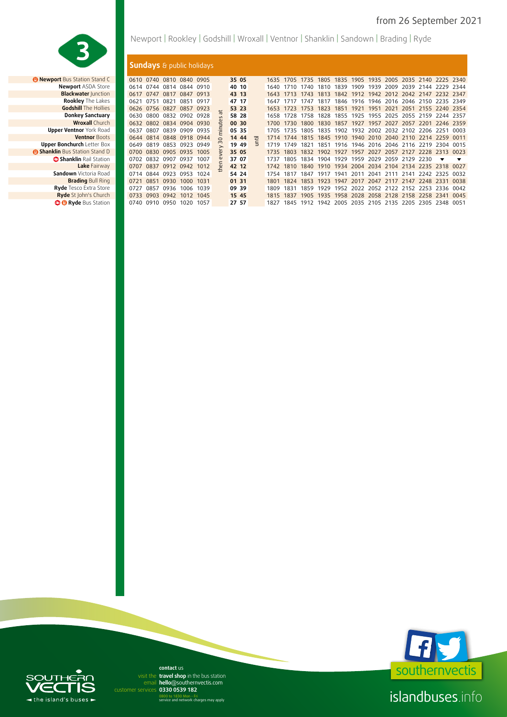

*B* Newport Bus Station Stand C **Upper Ventnor** York Road 0637 0807 0839 0909 0935 **05 35** 1705 1735 1805 1835 1902 1932 2002 2032 2102 2206 2251 0003 **Upper Bonchurch Letter Box Sandown** Victoria Road **Brading Bull Ring Ryde** Tesco Extra Store

Newport | Rookley | Godshill | Wroxall | Ventnor | Shanklin | Sandown | Brading | Ryde

### **Sundays** & public holidays

| <b>Newport</b> Bus Station Stand C  |           |                | 0610 0740 0810 0840 0905 |           |      |                | 35 05 |     | 1635 | 1705 |      |      |      |           |      |                               |      |                                    | 1735 1805 1835 1905 1935 2005 2035 2140 2225 2340 |                         |
|-------------------------------------|-----------|----------------|--------------------------|-----------|------|----------------|-------|-----|------|------|------|------|------|-----------|------|-------------------------------|------|------------------------------------|---------------------------------------------------|-------------------------|
| <b>Newport ASDA Store</b>           | 0614 0744 |                | 0814                     | 0844      | 0910 |                | 40 10 |     | 1640 |      | 1740 | 1810 | 1839 | 1909      | 1939 | 2009                          |      |                                    | 2039 2144 2229 2344                               |                         |
| <b>Blackwater Junction</b>          | 0617      | 0747           | 0817                     | 0847      | 0913 |                | 43 13 |     | 1643 |      | 1743 | 1813 | 1842 |           |      |                               |      |                                    | 1912 1942 2012 2042 2147 2232 2347                |                         |
| <b>Rookley</b> The Lakes            | 0621      | 0751           | 0821                     | 0851      | 0917 |                | 47 17 |     | 1647 |      | 1747 | 1817 | 1846 | 1916      |      | 1946 2016 2046 2150           |      |                                    | 2235 2349                                         |                         |
| <b>Godshill</b> The Hollies         |           | 0626 0756 0827 |                          | 0857      | 0923 |                | 53 23 |     | 1653 |      | 1753 | 1823 | 1851 | 1971      | 1951 | 2021                          | 2051 |                                    | 2155 2240 2354                                    |                         |
| <b>Donkey Sanctuary</b>             | 0630      |                | 0800 0832 0902           |           | 0928 |                | 58 28 |     | 1658 | 1728 | 1758 | 1828 | 1855 | 1925      |      | 1955 2025 2055 2159           |      |                                    | 2244                                              | 2357                    |
| <b>Wroxall Church</b>               | 0632      |                | 0802 0834 0904           |           | 0930 | e              | 00 30 |     | 1700 | 1730 | 1800 | 1830 | 1857 | 1927      | 1957 | 2027                          | 2057 | 2201                               | 2246                                              | 2359                    |
| <b>Upper Ventnor</b> York Road      | 0637      | 0807           | 0839                     | 0909      | 0935 | '≡             | 05 35 |     | 1705 | 1735 | 1805 | 1835 | 1902 | 1932      |      | 2002 2032 2102                |      | 2206                               | 2251                                              | 0003                    |
| <b>Ventnor Boots</b>                | 0644      |                | 0814 0848 0918 0944      |           |      | $\bigcap$      | 14 44 | 击   | 1714 | 1744 | 1815 | 1845 | 1910 | 1940      |      | 2010 2040 2110                |      | 2214                               | 2259                                              | 0011                    |
| <b>Upper Bonchurch Letter Box</b>   | 0649      | 0819           | 0853 0923                |           | 0949 |                | 19 49 | $=$ | 1719 | 1749 | 1821 | 1851 | 1916 |           |      |                               |      | 1946 2016 2046 2116 2219           | 2304                                              | 0015                    |
| <b>Shanklin</b> Bus Station Stand D | 0700      |                | 0830 0905 0935 1005      |           |      | $\bar{\omega}$ | 35 05 |     | 1735 | 1803 | 1832 | 1902 | 1927 |           |      |                               |      | 1957 2027 2057 2127 2228           | 2313                                              | - 0023                  |
| Shanklin Rail Station               | 0702      | 0832           | 0907                     | 0937      | 1007 |                | 37 07 |     | 1737 | 1805 | 1834 | 1904 | 1929 |           |      | 1959 2029 2059 2129 2230      |      |                                    | ▼                                                 | $\overline{\mathbf{v}}$ |
| Lake Fairway                        | 0707      | 0837           | 0912 0942 1012           |           |      | $\epsilon$     | 42 12 |     | 1742 | 1810 |      |      |      |           |      |                               |      |                                    | 1840 1910 1934 2004 2034 2104 2134 2235 2318 0027 |                         |
| <b>Sandown</b> Victoria Road        |           |                | 0714 0844 0923 0953 1024 |           |      |                | 54 24 |     | 1754 | 1817 | 1847 | 1917 | 1941 | 2011 2041 |      |                               |      | 2111 2141 2242 2325                |                                                   | 0032                    |
| <b>Brading Bull Ring</b>            | 0721      | 0851           | 0930                     | 1000      | 1031 |                | 01 31 |     | 1801 | 1874 | 1853 | 1923 |      |           |      |                               |      | 1947 2017 2047 2117 2147 2248 2331 |                                                   | 0038                    |
| <b>Ryde</b> Tesco Extra Store       | 0727      | 0857           | 0936                     | 1006 1039 |      |                | 09 39 |     | 1809 | 1831 | 1859 | 1929 |      |           |      |                               |      | 1952 2022 2052 2122 2152 2253      | 2336                                              | 0042                    |
| Ryde St John's Church               |           | 0733 0903      | 0942                     | 1012 1045 |      |                | 15 45 |     | 1815 | 1837 | 1905 |      |      |           |      |                               |      | 1935 1958 2028 2058 2128 2158 2258 | 2341                                              | 0045                    |
| <b>B Ryde</b> Bus Station           |           |                | 0740 0910 0950           | 1020      | 1057 |                | 27 57 |     | 1827 | 1845 | 1912 | 1942 |      |           |      | 2005 2035 2105 2135 2205 2305 |      |                                    | 2348                                              | 0051                    |



islandbuses.info

# $\overline{ }$ - the island's buses

**hello**@southernvectis.com email **hello@southerr**<br>rvices **0330 0539 182 contact** us visit the travel shop in the bus station

0800 to 1830 Mon - Fri service and network charges may apply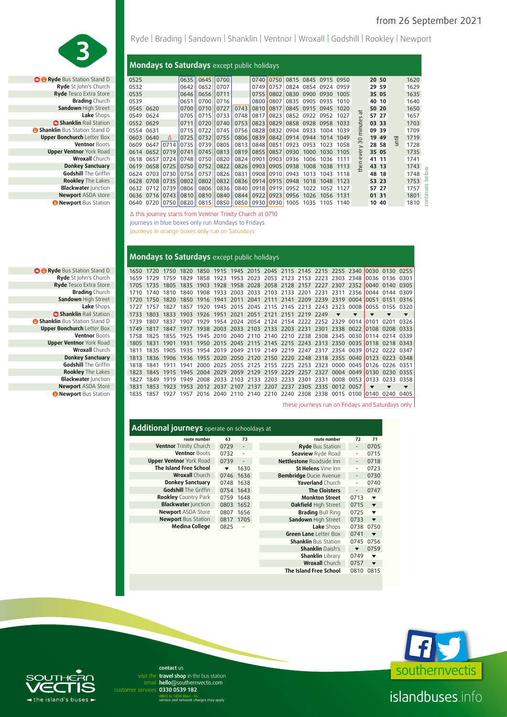

**B** Ryde Bus Station Stand D **Ryde** St John's Church **Ryde** Tesco Extra Store **Brading Church Sandown High Street**<br>**Lake Shops B** Shanklin Rail Station **B Shanklin Bus Station Stand D Upper Bonchurch Letter Box**<br>**Ventnor Boots Upper Ventnor York Road Wroxall Church Donkey Sanctuary Godshill** The Griffin **Rookley** The Lakes **Blackwater** Junction **Newport** ASDA store *<b>B* Newport Bus Station

Ryde | Brading | Sandown | Shanklin | Ventnor | Wroxall | Godshill | Rookley | Newport

### **Mondays to Saturdays** except public holidays

| Station Stand D            | 0525      |           |           | 0635 0645                              |      | 0700 |                              |                | 0740 0750 |      | 0815 0845 0915 0950 |                |           |                  | 20 50 |   | 1620 |    |
|----------------------------|-----------|-----------|-----------|----------------------------------------|------|------|------------------------------|----------------|-----------|------|---------------------|----------------|-----------|------------------|-------|---|------|----|
| st John's Church           | 0532      |           |           | $0642$ 0652                            |      | 0707 |                              |                | 0749 0757 |      | 0824 0854 0924      |                | 0959      |                  | 29 59 |   | 1629 |    |
| sco Extra Store            | 0535      |           |           | 0646                                   | 0656 | 0711 |                              | 0755           | 0802      |      | 0830 0900 0930 1005 |                |           |                  | 35 05 |   | 1635 |    |
| <b>Brading</b> Church      | 0539      |           |           | 0651                                   | 0700 | 0716 |                              | 0800 0807      |           |      | 0835 0905           | 0935 1010      |           |                  | 40 10 |   | 1640 |    |
| wn High Street             | 0545 0620 |           |           | 0700                                   | 0710 | 0727 |                              | 0743 0810 0817 |           |      | 0845 0915 0945 1020 |                |           |                  | 50 20 |   | 1650 |    |
| Lake Shops                 | 0549 0624 |           |           | 0705                                   | 0715 | 0733 | 0748                         | 0817 0823      |           |      | 0852 0922 0952 1027 |                |           | $\overline{u}$   | 57 27 |   | 1657 |    |
| <b>klin</b> Rail Station . | 0552 0629 |           |           | 0711                                   | 0720 | 0740 | 0753                         |                | 0823 0829 |      | 0858 0928           | 0958 1033      |           |                  | 03 33 |   | 1703 |    |
| Station Stand D            | 0554 0631 |           |           | 0715                                   | 0722 |      | 0745 0756 0828 0832          |                |           |      | 0904 0933           | 1004           | 1039      | ۹Ė               | 09 39 |   | 1709 |    |
| <b>urch</b> Letter Box     | 0603 0640 |           | Δ         | 0725                                   | 0732 |      | 0755 0806 0839 0842          |                |           |      | 0914 0944 1014 1049 |                |           | $\circ$          | 19 49 | Ξ | 1719 |    |
| <b>Ventnor Boots</b>       | 0609      |           | 0647 0714 | 0735 0739                              |      |      | 0805    0813    0848    0851 |                |           | 0923 | 0953                | 1023           | 1058      | m                | 28 58 | ⋸ | 1728 |    |
| i <b>tnor</b> York Road    | 0614      | 0652      |           | $0719$ 0741 0745                       |      |      | 0813 0819 0855 0857          |                |           | 0930 | 1000                | 1030 1105      |           | ery              | 35 05 |   | 1735 |    |
| <b>Wroxall</b> Church      | 0618      | 0657      |           | 0724 0748 0750                         |      |      | 0820    0824    0901    0903 |                |           | 0936 | 1006                |                | 1036 1111 | $\mathbf \omega$ | 41 11 |   | 1741 |    |
| ıkev Sanctuarv             | 0619      | 0658      |           | $\vert$ 0725 $\vert$ 0750 $\vert$ 0752 |      | 0822 | 0826 0903 0905               |                |           | 0938 | 1008                | 1038 1113      |           | e                | 43 13 |   | 1743 | ×. |
| shill The Griffin          |           | 0624 0703 |           | 0730 0756 0757                         |      | 0826 |                              | 0831 0908 0910 |           |      | 0943 1013 1043 1118 |                |           |                  | 48 18 |   | 1748 | 으  |
| <b>kley</b> The Lakes      |           | 0628 0708 |           | 0735 0802                              | 0802 | 0832 | 0836 0914 0915               |                |           |      | 0948 1018 1048 1123 |                |           |                  | 53 23 |   | 1753 | ≏  |
| cwater Junction            |           | 0632 0712 | 0739      | 08061                                  | 0806 |      | 0836    0840    0918    0919 |                |           |      | 0952 1022 1052 1127 |                |           |                  | 57 27 |   | 1757 |    |
| ort ASDA store             |           | 0636 0716 |           | 0743 0810                              | 0810 |      | 0840   0844   0922   0923    |                |           |      | 0956 1026 1056 1131 |                |           |                  | 01 31 |   | 1801 | €  |
| ort Bus Station            |           |           |           | 0640 0720 0750 0820 0815               |      |      | 0850    0850    0930    0930 |                |           | 1005 |                     | 1035 1105 1140 |           |                  | 10 40 |   | 1810 | Ρ  |
|                            |           |           |           |                                        |      |      |                              |                |           |      |                     |                |           |                  |       |   |      |    |

∆ this journey starts from Ventnor Trinity Church at 0710 journeys in blue boxes only run Mondays to Fridays journeys in orange boxes only run on Saturdays

#### **Mondays to Saturdays** except public holidays

| e Bus Station Stand D        | 1650 1720 |      | 1750 |                                                                                      |                                         |  |  | 1820 1850 1915 1945 2015 2045 2115 2145 2215 2255 2340 0030 0130 0255 |                          |                          |                         |                         |                          |
|------------------------------|-----------|------|------|--------------------------------------------------------------------------------------|-----------------------------------------|--|--|-----------------------------------------------------------------------|--------------------------|--------------------------|-------------------------|-------------------------|--------------------------|
| <b>?vde</b> St John's Church | 1659      | 1729 | 1759 | 1829                                                                                 |                                         |  |  | 1858 1923 1953 2023 2053 2123 2153 2223                               | 2303 2348 0036 0136 0301 |                          |                         |                         |                          |
| <b>yde</b> Tesco Extra Store | 1705      | 1735 |      | 1805 1835 1903 1928 1958 2028 2058 2128 2157 2227 2307 2352 0040 0140 0305           |                                         |  |  |                                                                       |                          |                          |                         |                         |                          |
| <b>Brading</b> Church        | 1710      | 1740 | 1810 |                                                                                      |                                         |  |  | 1840 1908 1933 2003 2033 2103 2133 2201 2231 2311 2356 0044 0144 0309 |                          |                          |                         |                         |                          |
| Sandown High Street          | 1720.     | 1750 |      | 1820 1850 1916 1941 2011 2041 2111 2141 2209 2239 2319 0004 0051                     |                                         |  |  |                                                                       |                          |                          |                         | 0151 0316               |                          |
| Lake Shops                   | 1727      | 1757 |      | 1827 1857 1920 1945 2015 2045 2115 2145 2213 2243 2323 0008 0055 0155 0320           |                                         |  |  |                                                                       |                          |                          |                         |                         |                          |
| <b>Shanklin</b> Rail Station | 1733      | 1803 |      | 1833 1903 1926 1951 2021 2051 2121 2151 2219 2249                                    |                                         |  |  |                                                                       | $\mathbf{v}$             | $\overline{\phantom{a}}$ | $\overline{\mathbf{v}}$ | $\overline{\mathbf{v}}$ | $\overline{\phantom{a}}$ |
| n Bus Station Stand D        | 1739      |      |      | 1807 1837 1907 1929 1954 2024 2054 2124 2154 2222 2252 2329 0014 0101                |                                         |  |  |                                                                       |                          |                          |                         | 0201                    | 0326                     |
| <b>Bonchurch</b> Letter Box  | 1749      |      |      | 1817 1847 1917 1938 2003 2033 2103 2133 2203 2231 2301 2338 0022 0108 0208 0333      |                                         |  |  |                                                                       |                          |                          |                         |                         |                          |
| <b>Ventnor Boots</b>         | 1758      |      |      | 1825 1855 1925 1945 2010 2040 2110 2140 2210 2238 2308 2345 0030 0114 0214 0339      |                                         |  |  |                                                                       |                          |                          |                         |                         |                          |
| er Ventnor York Road         |           |      |      | 1805 1831 1901 1931 1950 2015 2045 2115 2145 2215 2243 2313 2350 0035 0118 0218 0343 |                                         |  |  |                                                                       |                          |                          |                         |                         |                          |
| <b>Wroxall</b> Church        |           |      |      | 1835 1905 1935 1954 2019 2049 2119 2149 2219 2247 2317 2354 0039 0122 0222 0347      |                                         |  |  |                                                                       |                          |                          |                         |                         |                          |
| <b>Donkey Sanctuary</b>      | 1813      |      |      | 1836 1906 1936 1955 2020 2050 2120 2150 2220 2248 2318 2355 0040 0123 0223 0348      |                                         |  |  |                                                                       |                          |                          |                         |                         |                          |
| <b>Godshill</b> The Griffin  |           |      |      | 1841 1911 1941                                                                       |                                         |  |  | 2000 2025 2055 2125 2155 2225 2253 2323 0000 0045 0126 0226 0351      |                          |                          |                         |                         |                          |
| <b>Rookley</b> The Lakes     |           |      |      | 1845 1915 1945 2004 2029 2059 2129 2159 2229 2257 2327                               |                                         |  |  |                                                                       | 0004 0049                |                          | 0130                    | 0230 0355               |                          |
| <b>Blackwater Junction</b>   | 1827      | 1849 | 1919 | 1949                                                                                 | 2008 2033 2103 2133 2203 2233 2301 2331 |  |  |                                                                       | 0008 0053                |                          | 0133                    | 0233                    | 0358                     |
| <b>Newport ASDA Store</b>    |           | 1853 |      | 1923 1953 2012 2037 2107 2137 2207 2237 2305 2335 0012 0057                          |                                         |  |  |                                                                       |                          |                          | $\overline{\mathbf{v}}$ | ▼                       | $\overline{\mathbf{v}}$  |
| <b>Newport Bus Station</b>   | 1835      | 1857 | 1927 |                                                                                      |                                         |  |  | 1957 2016 2040 2110 2140 2210 2240 2308 2338 0015 0100                |                          |                          | 10140                   | 0240                    | 0405                     |
|                              |           |      |      |                                                                                      |                                         |  |  |                                                                       |                          |                          |                         |                         |                          |

these journeys run on Fridays and Saturdays only

**The Island Free School** 0810 0815

| Additional journeys operate on schooldays at |                         |                              |                               |                              |                          |
|----------------------------------------------|-------------------------|------------------------------|-------------------------------|------------------------------|--------------------------|
| route number                                 | 63                      | 73                           | route number                  | 72                           | 71                       |
| <b>Ventnor</b> Trinity Church                | 0729                    | $\overline{a}$               | <b>Ryde Bus Station</b>       | $\qquad \qquad \blacksquare$ | 0705                     |
| <b>Ventnor Boots</b>                         | 0732                    | $\overline{a}$               | Seaview Ryde Road             |                              | 0715                     |
| <b>Upper Ventnor</b> York Road               | 0739                    | $\qquad \qquad \blacksquare$ | Nettlestone Roadside Inn      | $\overline{\phantom{a}}$     | 0718                     |
| The Island Free School                       | $\overline{\mathbf{v}}$ | 1630                         | St Helens Vine Inn            | -                            | 0723                     |
| <b>Wroxall</b> Church                        |                         | 0746 1636                    | <b>Bembridge Ducie Avenue</b> | $\overline{\phantom{a}}$     | 0730                     |
| <b>Donkey Sanctuary</b>                      |                         | 0748 1638                    | Yaverland Church              |                              | 0740                     |
| <b>Godshill</b> The Griffin                  |                         | 0754 1643                    | <b>The Cloisters</b>          |                              | 0747                     |
| <b>Rookley</b> Country Park                  |                         | 0759 1648                    | <b>Monkton Street</b>         | 0713                         | $\overline{\phantom{a}}$ |
| <b>Blackwater Junction</b>                   |                         | 0803 1652                    | <b>Oakfield High Street</b>   | 0715                         | $\blacktriangledown$     |
| <b>Newport ASDA Store</b>                    |                         | 0807 1656                    | <b>Brading Bull Ring</b>      | 0725                         | $\blacktriangledown$     |
| <b>Newport Bus Station</b>                   |                         | 0817 1705                    | Sandown High Street           | 0733                         | $\overline{\mathbf{v}}$  |
| <b>Medina College</b>                        | 0825                    | $\overline{\phantom{0}}$     | Lake Shops                    | 0738                         | 0750                     |
|                                              |                         |                              | Green Lane Letter Box         | 0741                         | $\overline{\phantom{a}}$ |
|                                              |                         |                              | <b>Shanklin</b> Bus Station   |                              | 0745 0756                |
|                                              |                         |                              | <b>Shanklin Daish's</b>       | $\overline{\phantom{a}}$     | 0759                     |
|                                              |                         |                              | <b>Shanklin</b> Library       | 0749                         | $\overline{\mathbf{v}}$  |
|                                              |                         |                              | <b>Wroxall Church</b>         | 0757                         | $\overline{\textbf{v}}$  |



## islandbuses.info

email hello@southernvectis.com **0330 0539 182** customer services **contact** us visit the travel shop in the bus station

0800 to 1830 Mon - Fri service and network charges may apply



the island's buses =